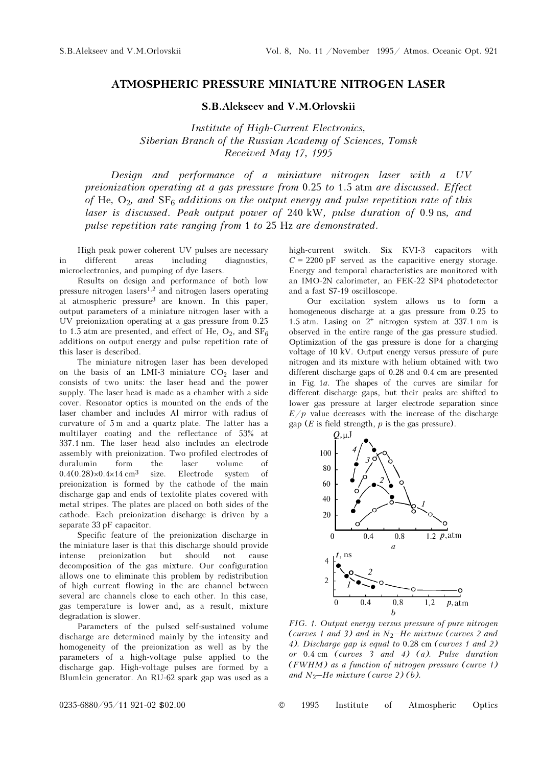## ATMOSPHERIC PRESSURE MINIATURE NITROGEN LASER

S.B.Alekseev and V.M.Orlovskii

Institute of High-Current Electronics, Siberian Branch of the Russian Academy of Sciences, Tomsk Received May 17, 1995

Design and performance of a miniature nitrogen laser with a UV preionization operating at a gas pressure from 0.25 to 1.5 atm are discussed. Effect of He,  $O_2$ , and  $SF_6$  additions on the output energy and pulse repetition rate of this laser is discussed. Peak output power of 240 kW, pulse duration of 0.9 ns, and pulse repetition rate ranging from 1 to 25 Hz are demonstrated.

High peak power coherent UV pulses are necessary in different areas including diagnostics, microelectronics, and pumping of dye lasers.

Results on design and performance of both low pressure nitrogen lasers<sup>1,2</sup> and nitrogen lasers operating at atmospheric pressure<sup>3</sup> are known. In this paper, output parameters of a miniature nitrogen laser with a UV preionization operating at a gas pressure from 0.25 to 1.5 atm are presented, and effect of He,  $O_2$ , and  $SF_6$ additions on output energy and pulse repetition rate of this laser is described.

The miniature nitrogen laser has been developed on the basis of an LMI-3 miniature  $CO<sub>2</sub>$  laser and consists of two units: the laser head and the power supply. The laser head is made as a chamber with a side cover. Resonator optics is mounted on the ends of the laser chamber and includes Al mirror with radius of curvature of 5 m and a quartz plate. The latter has a multilayer coating and the reflectance of 53% at 337.1 nm. The laser head also includes an electrode assembly with preionization. Two profiled electrodes of duralumin form the laser volume of  $0.4(0.28)\times0.4\times14$  cm<sup>3</sup> size. Electrode system of preionization is formed by the cathode of the main discharge gap and ends of textolite plates covered with metal stripes. The plates are placed on both sides of the cathode. Each preionization discharge is driven by a separate 33 pF capacitor.

Specific feature of the preionization discharge in the miniature laser is that this discharge should provide<br>intense preionization but should not cause intense preionization but should not cause decomposition of the gas mixture. Our configuration allows one to eliminate this problem by redistribution of high current flowing in the arc channel between several arc channels close to each other. In this case, gas temperature is lower and, as a result, mixture degradation is slower.

Parameters of the pulsed self-sustained volume discharge are determined mainly by the intensity and homogeneity of the preionization as well as by the parameters of a high-voltage pulse applied to the discharge gap. High-voltage pulses are formed by a Blumlein generator. An RU-62 spark gap was used as a high-current switch. Six KVI-3 capacitors with  $C = 2200$  pF served as the capacitive energy storage. Energy and temporal characteristics are monitored with an IMO-2N calorimeter, an FEK-22 SP4 photodetector and a fast S7-19 oscilloscope.

Our excitation system allows us to form a homogeneous discharge at a gas pressure from 0.25 to 1.5 atm. Lasing on 2+ nitrogen system at 337.1 nm is observed in the entire range of the gas pressure studied. Optimization of the gas pressure is done for a charging voltage of 10 kV. Output energy versus pressure of pure nitrogen and its mixture with helium obtained with two different discharge gaps of 0.28 and 0.4 cm are presented in Fig. 1a. The shapes of the curves are similar for different discharge gaps, but their peaks are shifted to lower gas pressure at larger electrode separation since  $E/p$  value decreases with the increase of the discharge gap ( $E$  is field strength,  $p$  is the gas pressure).



FIG. 1. Output energy versus pressure of pure nitrogen 4). Discharge gap is equal to 0.28 cm (curves 1 and 2) or 0.4 cm (curves 3 and 4) (a). Pulse duration (FWHM) as a function of nitrogen pressure (curve 1) (curves 1 and 3) and in  $N_2$ –He m<br>4). Discharge gap is equal to 0.28<br>or 0.4 cm (curves 3 and 4) (<br>(FWHM) as a function of nitroge<br>and  $N_2$ –He mixture (curve 2) (b).